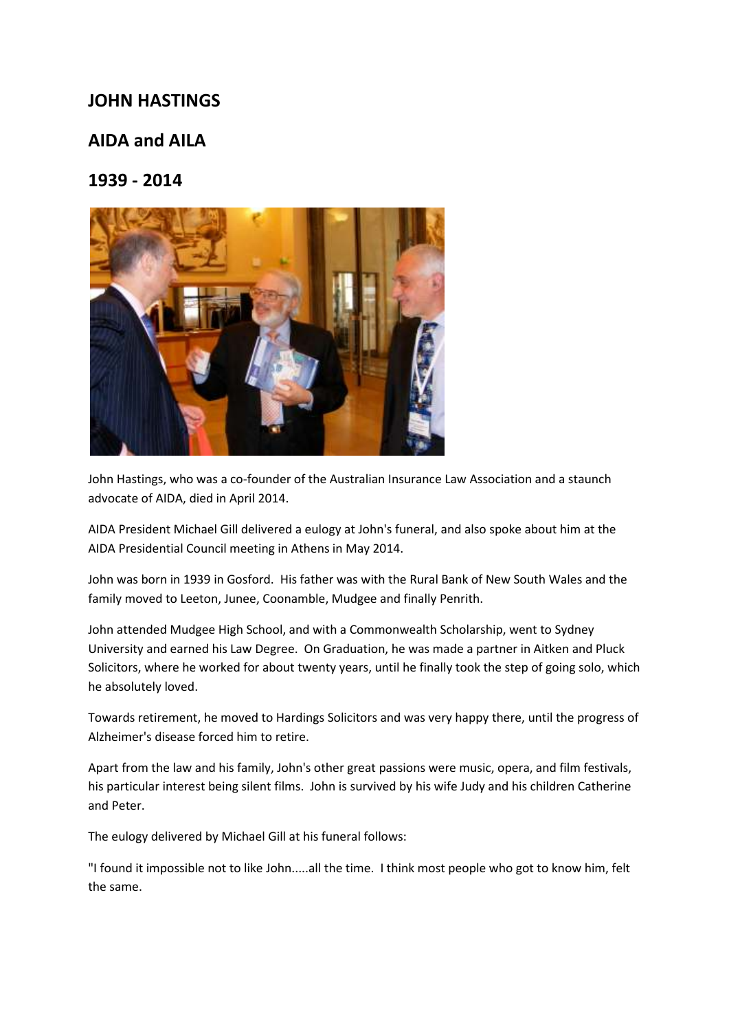## **JOHN HASTINGS**

## **AIDA and AILA**

## **1939 - 2014**



John Hastings, who was a co-founder of the Australian Insurance Law Association and a staunch advocate of AIDA, died in April 2014.

AIDA President Michael Gill delivered a eulogy at John's funeral, and also spoke about him at the AIDA Presidential Council meeting in Athens in May 2014.

John was born in 1939 in Gosford. His father was with the Rural Bank of New South Wales and the family moved to Leeton, Junee, Coonamble, Mudgee and finally Penrith.

John attended Mudgee High School, and with a Commonwealth Scholarship, went to Sydney University and earned his Law Degree. On Graduation, he was made a partner in Aitken and Pluck Solicitors, where he worked for about twenty years, until he finally took the step of going solo, which he absolutely loved.

Towards retirement, he moved to Hardings Solicitors and was very happy there, until the progress of Alzheimer's disease forced him to retire.

Apart from the law and his family, John's other great passions were music, opera, and film festivals, his particular interest being silent films. John is survived by his wife Judy and his children Catherine and Peter.

The eulogy delivered by Michael Gill at his funeral follows:

"I found it impossible not to like John.....all the time. I think most people who got to know him, felt the same.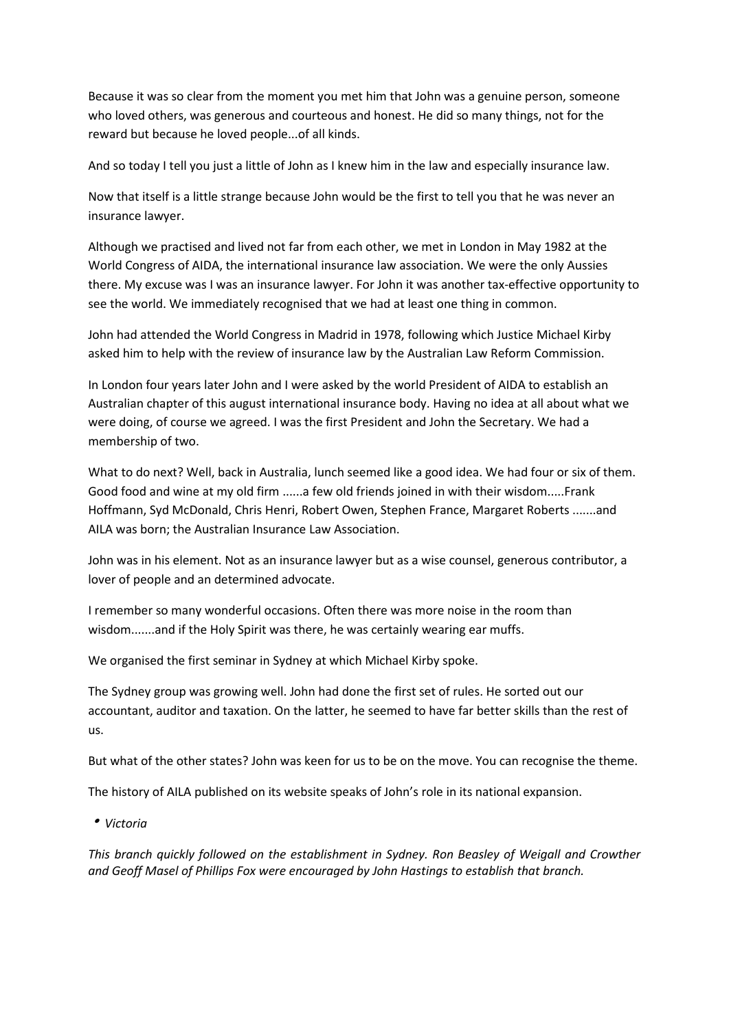Because it was so clear from the moment you met him that John was a genuine person, someone who loved others, was generous and courteous and honest. He did so many things, not for the reward but because he loved people...of all kinds.

And so today I tell you just a little of John as I knew him in the law and especially insurance law.

Now that itself is a little strange because John would be the first to tell you that he was never an insurance lawyer.

Although we practised and lived not far from each other, we met in London in May 1982 at the World Congress of AIDA, the international insurance law association. We were the only Aussies there. My excuse was I was an insurance lawyer. For John it was another tax-effective opportunity to see the world. We immediately recognised that we had at least one thing in common.

John had attended the World Congress in Madrid in 1978, following which Justice Michael Kirby asked him to help with the review of insurance law by the Australian Law Reform Commission.

In London four years later John and I were asked by the world President of AIDA to establish an Australian chapter of this august international insurance body. Having no idea at all about what we were doing, of course we agreed. I was the first President and John the Secretary. We had a membership of two.

What to do next? Well, back in Australia, lunch seemed like a good idea. We had four or six of them. Good food and wine at my old firm ......a few old friends joined in with their wisdom.....Frank Hoffmann, Syd McDonald, Chris Henri, Robert Owen, Stephen France, Margaret Roberts .......and AILA was born; the Australian Insurance Law Association.

John was in his element. Not as an insurance lawyer but as a wise counsel, generous contributor, a lover of people and an determined advocate.

I remember so many wonderful occasions. Often there was more noise in the room than wisdom.......and if the Holy Spirit was there, he was certainly wearing ear muffs.

We organised the first seminar in Sydney at which Michael Kirby spoke.

The Sydney group was growing well. John had done the first set of rules. He sorted out our accountant, auditor and taxation. On the latter, he seemed to have far better skills than the rest of us.

But what of the other states? John was keen for us to be on the move. You can recognise the theme.

The history of AILA published on its website speaks of John's role in its national expansion.

<sup>h</sup> *Victoria* 

*This branch quickly followed on the establishment in Sydney. Ron Beasley of Weigall and Crowther and Geoff Masel of Phillips Fox were encouraged by John Hastings to establish that branch.*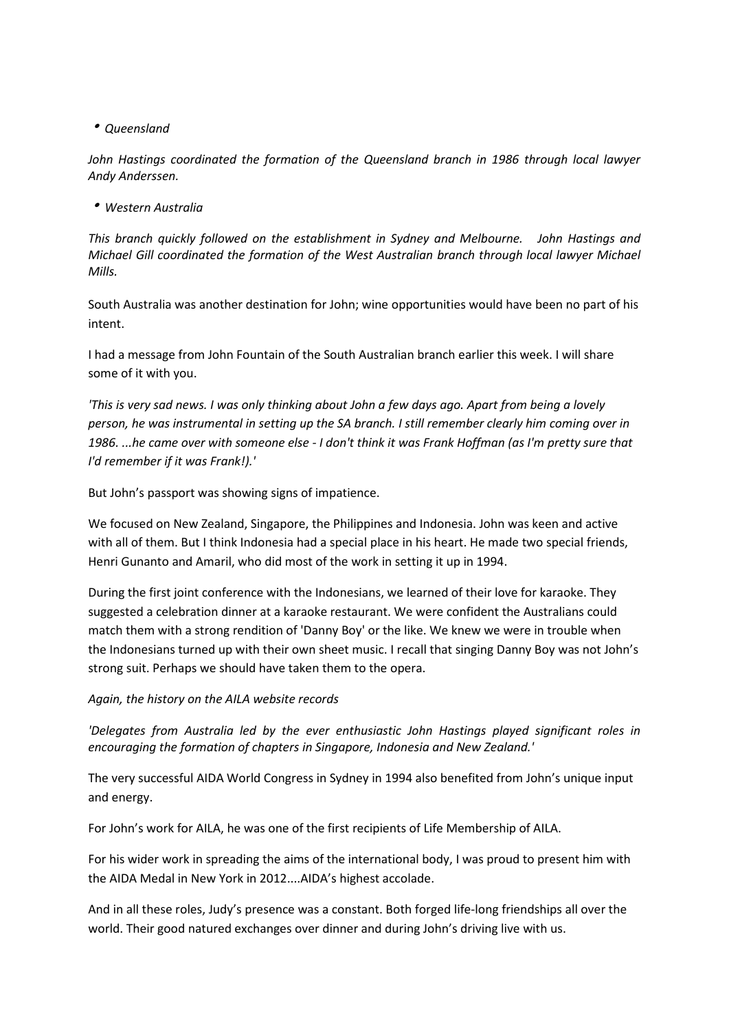<sup>h</sup> *Queensland* 

*John Hastings coordinated the formation of the Queensland branch in 1986 through local lawyer Andy Anderssen.* 

<sup>h</sup> *Western Australia* 

*This branch quickly followed on the establishment in Sydney and Melbourne. John Hastings and Michael Gill coordinated the formation of the West Australian branch through local lawyer Michael Mills.* 

South Australia was another destination for John; wine opportunities would have been no part of his intent.

I had a message from John Fountain of the South Australian branch earlier this week. I will share some of it with you.

*'This is very sad news. I was only thinking about John a few days ago. Apart from being a lovely person, he was instrumental in setting up the SA branch. I still remember clearly him coming over in 1986. ...he came over with someone else - I don't think it was Frank Hoffman (as I'm pretty sure that I'd remember if it was Frank!).'* 

But John's passport was showing signs of impatience.

We focused on New Zealand, Singapore, the Philippines and Indonesia. John was keen and active with all of them. But I think Indonesia had a special place in his heart. He made two special friends, Henri Gunanto and Amaril, who did most of the work in setting it up in 1994.

During the first joint conference with the Indonesians, we learned of their love for karaoke. They suggested a celebration dinner at a karaoke restaurant. We were confident the Australians could match them with a strong rendition of 'Danny Boy' or the like. We knew we were in trouble when the Indonesians turned up with their own sheet music. I recall that singing Danny Boy was not John's strong suit. Perhaps we should have taken them to the opera.

*Again, the history on the AILA website records* 

*'Delegates from Australia led by the ever enthusiastic John Hastings played significant roles in encouraging the formation of chapters in Singapore, Indonesia and New Zealand.'* 

The very successful AIDA World Congress in Sydney in 1994 also benefited from John's unique input and energy.

For John's work for AILA, he was one of the first recipients of Life Membership of AILA.

For his wider work in spreading the aims of the international body, I was proud to present him with the AIDA Medal in New York in 2012....AIDA's highest accolade.

And in all these roles, Judy's presence was a constant. Both forged life-long friendships all over the world. Their good natured exchanges over dinner and during John's driving live with us.